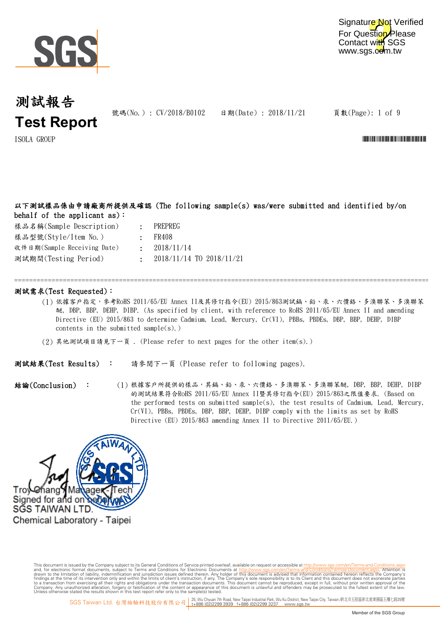

號碼(No.): CV/2018/B0102 日期(Date): 2018/11/21

頁數(Page): 1 of 9

 $\text{I}$ SOLA GROUP  $\blacksquare$ 

### 以下測試樣品係由申請廠商所提供及確認 (The following sample(s) was/were submitted and identified by/on behalf of the applicant as):

樣品型號(Style/Item No.) 收件日期(Sample Receiving Date) 樣品名稱(Sample Description) 測試期間(Testing Period)

- : PREPREG
- : FR408
- : 2018/11/14
	- : 2018/11/14 TO 2018/11/21

### 測試需求(Test Requested):

(1) 依據客戶指定,參考RoHS 2011/65/EU Annex II及其修訂指令(EU) 2015/863測試鎘、鉛、汞、六價鉻、多溴聯苯、多溴聯苯 醚, DBP, BBP, DEHP, DIBP. (As specified by client, with reference to RoHS 2011/65/EU Annex II and amending Directive (EU) 2015/863 to determine Cadmium, Lead, Mercury, Cr(VI), PBBs, PBDEs, DBP, BBP, DEHP, DIBP contents in the submitted sample $(s)$ .)

=============================================================================================================================

(2) 其他測試項目請見下一頁 . (Please refer to next pages for the other item(s).)

請參閱下一頁 (Please refer to following pages). 測試結果(Test Results) :

結論(Conclusion) : (1) (1) 根據客戶所提供的樣品,其鍋、鉛、汞、六價鉻、多溴聯苯、多溴聯苯醚, DBP, BBP, DEHP, DIBP 的測試結果符合RoHS 2011/65/EU Annex II暨其修訂指令(EU) 2015/863之限值要求. (Based on the performed tests on submitted sample(s), the test results of Cadmium, Lead, Mercury, Cr(VI), PBBs, PBDEs, DBP, BBP, DEHP, DIBP comply with the limits as set by RoHS Directive (EU) 2015/863 amending Annex II to Directive 2011/65/EU.)

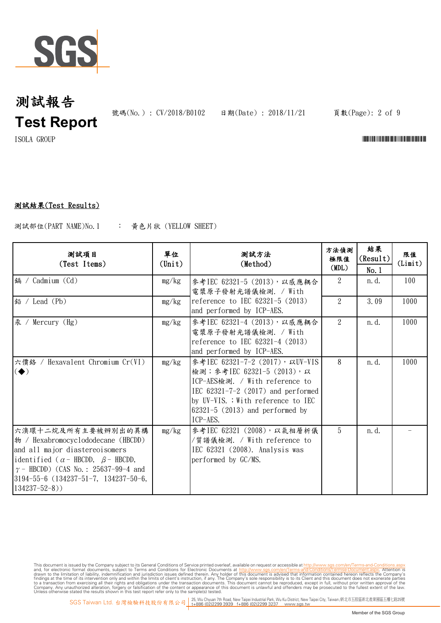

號碼(No.): CV/2018/B0102 日期(Date): 2018/11/21 頁數(Page): 2 of 9

 $\blacksquare$ ISOLA GROUP  $\blacksquare$ 

### 測試結果(Test Results)

: 黃色片狀 (YELLOW SHEET) 測試部位(PART NAME)No.1

| 测試項目<br>(Test Items)                                                                                                                                                                                                                                                   | 單位<br>$(\text{Unit})$ | 測試方法<br>(Method)                                                                                                                                                                                                                    | 方法偵測<br>極限值<br>(MDL) | 結果<br>(Result)<br>No.1 | 限值<br>(Limit) |
|------------------------------------------------------------------------------------------------------------------------------------------------------------------------------------------------------------------------------------------------------------------------|-----------------------|-------------------------------------------------------------------------------------------------------------------------------------------------------------------------------------------------------------------------------------|----------------------|------------------------|---------------|
| 鎘 / Cadmium (Cd)                                                                                                                                                                                                                                                       | mg/kg                 | 參考IEC 62321-5 (2013), 以感應耦合<br>電漿原子發射光譜儀檢測. / With                                                                                                                                                                                  | $\mathcal{L}$        | n. d.                  | 100           |
| 鉛 / Lead (Pb)                                                                                                                                                                                                                                                          | mg/kg                 | reference to IEC $62321-5$ (2013)<br>and performed by ICP-AES.                                                                                                                                                                      | $\overline{2}$       | 3.09                   | 1000          |
| 汞 / Mercury (Hg)                                                                                                                                                                                                                                                       | mg/kg                 | 參考IEC 62321-4 (2013), 以感應耦合<br>電漿原子發射光譜儀檢測. / With<br>reference to IEC $62321 - 4$ (2013)<br>and performed by ICP-AES.                                                                                                              | 2                    | n. d.                  | 1000          |
| 六價鉻 / Hexavalent Chromium Cr(VI)<br>$\left(\blacklozenge\right)$                                                                                                                                                                                                       | mg/kg                 | 參考IEC 62321-7-2 (2017), 以UV-VIS<br>檢測; 參考IEC 62321-5 (2013), 以<br>ICP-AES檢測. / With reference to<br>IEC $62321 - 7 - 2$ (2017) and performed<br>by UV-VIS. ; With reference to IEC<br>$62321-5$ (2013) and performed by<br>ICP-AES. | 8                    | n. d.                  | 1000          |
| 六溴環十二烷及所有主要被辨別出的異構<br>$\ket{\psi}$ / Hexabromocyclododecane (HBCDD)<br>and all major diastereoisomers<br>identified ( $\alpha$ - HBCDD, $\beta$ - HBCDD,<br>$\gamma$ – HBCDD) (CAS No.: 25637-99-4 and<br>$ 3194-55-6(134237-51-7, 134237-50-6,$<br>$134237 - 52 - 8)$ | mg/kg                 | 參考IEC 62321 (2008), 以氣相層析儀<br>/質譜儀檢測. / With reference to<br>IEC 62321 (2008). Analysis was<br>performed by GC/MS.                                                                                                                  | 5                    | n. d.                  |               |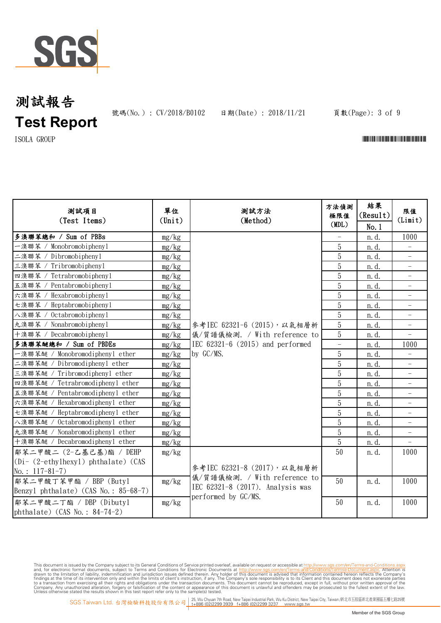

號碼(No.): CV/2018/B0102 日期(Date): 2018/11/21 頁數(Page): 3 of 9

 $\Gamma$ ISOLA GROUP  $\Gamma$ 

| 测試項目<br>(Test Items)                          | 單位<br>(Unit) | 测試方法<br>(Method)                                                 | 方法偵測<br>極限值 | 結果<br>(Result) | 限值<br>(Limit)                     |
|-----------------------------------------------|--------------|------------------------------------------------------------------|-------------|----------------|-----------------------------------|
|                                               |              |                                                                  | (MDL)       | No. 1          |                                   |
| 多溴聯苯總和 / Sum of PBBs                          | mg/kg        |                                                                  |             | n.d.           | 1000                              |
| 一溴聯苯 / Monobromobiphenyl                      | mg/kg        |                                                                  | 5           | n. d.          | $\overline{\phantom{0}}$          |
| 二溴聯苯 / Dibromobiphenyl                        | mg/kg        |                                                                  | 5           | n. d.          | $\qquad \qquad -$                 |
| Tribromobiphenyl<br>三溴聯苯 /                    | mg/kg        |                                                                  | 5           | n. d.          |                                   |
| Tetrabromobiphenyl<br>四溴聯苯                    | mg/kg        |                                                                  | 5           | n. d.          |                                   |
| Pentabromobiphenyl<br>五溴聯苯                    | mg/kg        |                                                                  | 5           | n. d.          | $\qquad \qquad -$                 |
| Hexabromobiphenyl<br>六溴聯苯                     | mg/kg        |                                                                  | 5           | n. d.          | $\qquad \qquad -$                 |
| Heptabromobiphenyl<br>七溴聯苯 /                  | mg/kg        |                                                                  | 5           | n. d.          |                                   |
| 八溴聯苯 / Octabromobiphenyl                      | mg/kg        |                                                                  | 5           | n. d.          |                                   |
| 九溴聯苯 / Nonabromobipheny1                      | mg/kg        | 參考IEC 62321-6 (2015), 以氣相層析                                      | 5           | n. d.          | $\overline{\phantom{0}}$          |
| 十溴聯苯 / Decabromobipheny1                      | mg/kg        | 儀/質譜儀檢測. / With reference to                                     | 5           | n. d.          | $\overline{\phantom{0}}$          |
| 多溴聯苯醚總和 / Sum of PBDEs                        | mg/kg        | IEC $62321-6$ $(2015)$ and performed                             | ÷,          | n. d.          | 1000                              |
| 一溴聯苯醚 / Monobromodiphenyl ether               | mg/kg        | by GC/MS.                                                        | 5           | n. d.          |                                   |
| 二溴聯苯醚 / Dibromodiphenyl ether                 | mg/kg        |                                                                  | 5           | n. d.          |                                   |
| 三溴聯苯醚 / Tribromodiphenyl ether                | mg/kg        |                                                                  | 5           | n. d.          | $\qquad \qquad -$                 |
| 四溴聯苯醚 / Tetrabromodiphenyl ether              | mg/kg        |                                                                  | 5           | n. d.          | $\overline{\phantom{0}}$          |
| 五溴聯苯醚 / Pentabromodiphenyl ether              | mg/kg        |                                                                  | 5           | n. d.          |                                   |
| 六溴聯苯醚 / Hexabromodiphenyl ether               | mg/kg        |                                                                  | 5           | n. d.          | $\qquad \qquad -$                 |
| 七溴聯苯醚 / Heptabromodiphenyl ether              | mg/kg        |                                                                  | 5           | n. d.          | $\hspace{1.0cm} - \hspace{1.0cm}$ |
| 八溴聯苯醚 / Octabromodiphenyl ether               | mg/kg        |                                                                  | 5           | n. d.          | $\overline{\phantom{0}}$          |
| 九溴聯苯醚 / Nonabromodiphenyl ether               | mg/kg        |                                                                  | 5           | n. d.          |                                   |
| 十溴聯苯醚 / Decabromodiphenyl ether               | mg/kg        |                                                                  | 5           | n. d.          |                                   |
| 鄰苯二甲酸二 (2-乙基己基)酯 / DEHP                       | mg/kg        |                                                                  | 50          | n. d.          | 1000                              |
| $(Di - (2-\text{ethylhexyl})$ phthalate) (CAS |              |                                                                  |             |                |                                   |
| No.: $117-81-7$ )                             |              | 參考IEC 62321-8 (2017), 以氣相層析                                      |             |                |                                   |
| 鄰苯二甲酸丁苯甲酯 / BBP (Butyl                        | mg/kg        | 儀/質譜儀檢測. / With reference to<br>IEC 62321-8 (2017). Analysis was | 50          | n.d.           | 1000                              |
| Benzyl phthalate) $(CAS No. : 85-68-7)$       |              | performed by GC/MS.                                              |             |                |                                   |
| 鄰苯二甲酸二丁酯 / DBP (Dibutyl                       | mg/kg        |                                                                  | 50          | n.d.           | 1000                              |
| phthalate) (CAS No.: $84-74-2$ )              |              |                                                                  |             |                |                                   |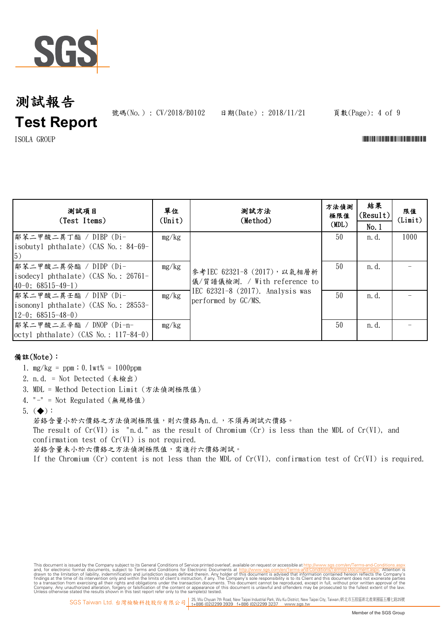

號碼(No.): CV/2018/B0102 日期(Date): 2018/11/21 頁數(Page): 4 of 9

 $\blacksquare$ ISOLA GROUP  $\blacksquare$ 

| 测試項目<br>(Test Items)                                                                           | 單位<br>(Unit) | 測試方法<br>(Method)                                                                                                         | 方法偵測<br>極限值<br>(MDL) | 結果<br>(Result)<br>No.1 | 限值<br>(Limit) |
|------------------------------------------------------------------------------------------------|--------------|--------------------------------------------------------------------------------------------------------------------------|----------------------|------------------------|---------------|
| 鄰苯二甲酸二異丁酯 / DIBP (Di-<br>isobutyl phthalate) (CAS No.: $84-69-$<br>$\vert 5)$                  | mg/kg        | 參考IEC 62321-8 (2017), 以氣相層析<br>儀/質譜儀檢測. / With reference to<br>IEC $62321-8$ (2017). Analysis was<br>performed by GC/MS. | 50                   | n. d.                  | 1000          |
| 鄰苯二甲酸二異癸酯 / DIDP (Di-<br>isodecyl phthalate) (CAS No.: $26761 -$<br>$ 40-0; 68515-49-1\rangle$ | mg/kg        |                                                                                                                          | 50                   | n. d.                  |               |
| 鄰苯二甲酸二異壬酯 / DINP (Di-<br>isononyl phthalate) $(CAS No. : 28553-$<br>$12-0$ ; 68515-48-0)       | mg/kg        |                                                                                                                          | 50                   | n. d.                  |               |
| 鄭苯二甲酸二正辛酯 / DNOP (Di-n-<br>$octyl$ phthalate) (CAS No.: 117-84-0)                              | mg/kg        |                                                                                                                          | 50                   | n. d.                  |               |

### 備註(Note):

- 1. mg/kg = ppm;0.1wt% = 1000ppm
- 2. n.d. = Not Detected (未檢出)
- 3. MDL = Method Detection Limit (方法偵測極限值)
- 4. "-" = Not Regulated (無規格值)

5.  $(\blacklozenge)$ :

若鉻含量小於六價鉻之方法偵測極限值,則六價鉻為n.d.,不須再測試六價鉻。 The result of  $Cr(VI)$  is "n.d." as the result of Chromium  $(Cr)$  is less than the MDL of  $Cr(VI)$ , and confirmation test of Cr(VI) is not required. 若鉻含量未小於六價鉻之方法偵測極限值,需進行六價鉻測試。

If the Chromium (Cr) content is not less than the MDL of Cr(VI), confirmation test of Cr(VI) is required.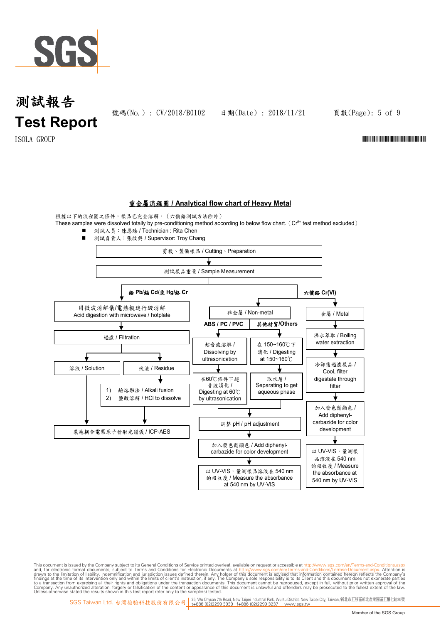

號碼(No.): CV/2018/B0102 日期(Date): 2018/11/21 頁數(Page): 5 of 9

 $\text{I} \text{SOLA} \quad \text{GROUP}$   $\blacksquare$ 

#### 重金屬流程圖 **/ Analytical flow chart of Heavy Metal**

根據以下的流程圖之條件,樣品已完全溶解。(六價鉻測試方法除外) These samples were dissolved totally by pre-conditioning method according to below flow chart. ( $Cr<sup>6+</sup>$  test method excluded)

 測試人員:陳恩臻 / Technician : Rita Chen ■ 測試負責人:張啟興 / Supervisor: Troy Chang 剪裁、製備樣品 / Cutting、Preparation 測試樣品重量 / Sample Measurement 鉛 **Pb/**鎘 **Cd/**汞 **Hg/**鉻 **Cr** 六價鉻 **Cr(VI)** 用微波消解儀/電熱板進行酸消解 非金屬 / Non-metal | | 金屬 / Metal Acid digestion with microwave / hotplate **ABS / PC / PVC** 其他材質**/Others** 過濾 / Filtration 沸水萃取 / Boiling water extraction 超音波溶解 / 在 150~160℃下 消化 / Digesting Dissolving by ultrasonication at 150~160℃ 冷卻後過濾樣品 / **溶液 / Solution** | | 残渣 / Residue Cool, filter 在60℃條件下超 digestate through 取水層 / ↓ 音波消化 / Separating to get filter 1) 鹼熔融法 / Alkali fusion Digesting at 60℃ aqueous phase 2) 鹽酸溶解 / HCl to dissolve by ultrasonication 加入發色劑顯色 / Add diphenylcarbazide for color 調整 pH / pH adjustment development 感應耦合電漿原子發射光譜儀 / ICP-AES 加入發色劑顯色 / Add diphenyl-以 UV-VIS,量測樣 carbazide for color development 品溶液在 540 nm 的吸收度 / Measure 以 UV-VIS,量測樣品溶液在 540 nm the absorbance at 的吸收度 / Measure the absorbance 540 nm by UV-VIS at 540 nm by UV-VIS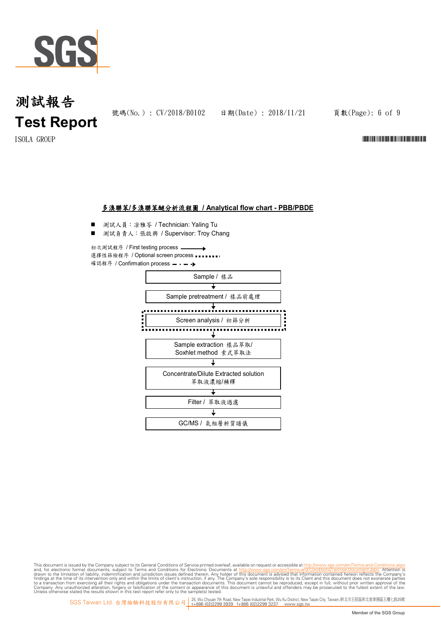

號碼(No.): CV/2018/B0102 日期(Date): 2018/11/21 頁數(Page): 6 of 9

 $\text{I} \text{SOLA} \quad \text{GROUP}$   $\blacksquare$ 

#### 多溴聯苯**/**多溴聯苯醚分析流程圖 **/ Analytical flow chart - PBB/PBDE**

- 測試人員:凃雅苓 / Technician: Yaling Tu
- 測試負責人:張啟興 / Supervisor: Troy Chang

初次測試程序 / First testing process 選擇性篩檢程序 / Optional screen process •••••••• 確認程序 / Confirmation process - - - →

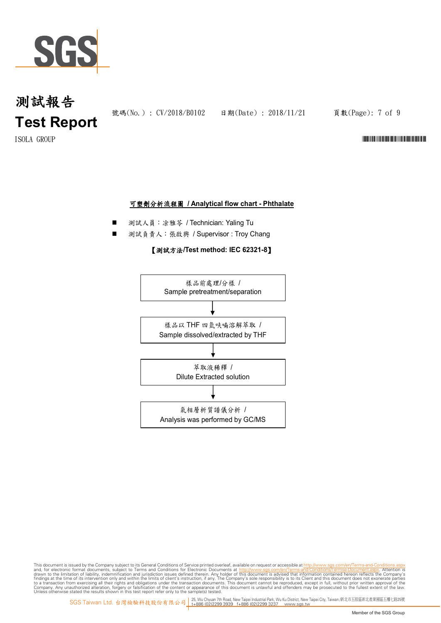

號碼(No.): CV/2018/B0102 日期(Date): 2018/11/21 頁數(Page): 7 of 9

 $\text{I} \text{SOLA} \quad \text{GROUP}$   $\blacksquare$ 

#### 可塑劑分析流程圖 **/ Analytical flow chart - Phthalate**

- 測試人員:涂雅苓 / Technician: Yaling Tu
- 測試負責人:張啟興 / Supervisor : Troy Chang

#### 【測試方法**/Test method: IEC 62321-8**】

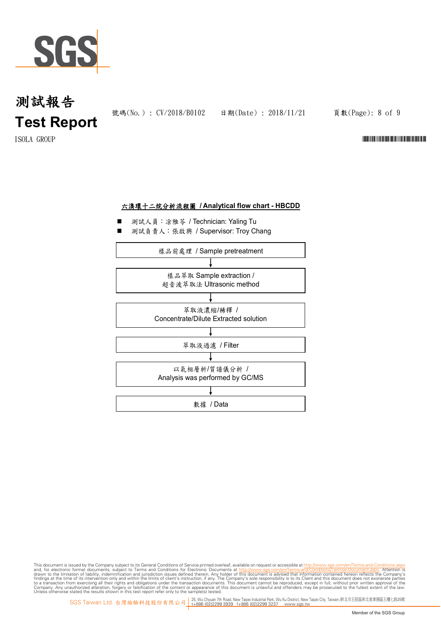

號碼(No.): CV/2018/B0102 日期(Date): 2018/11/21 頁數(Page): 8 of 9

 $\text{I} \text{SOLA} \quad \text{GROUP}$   $\blacksquare$ 

#### 六溴環十二烷分析流程圖 **/ Analytical flow chart - HBCDD**

- 測試人員:凃雅苓 / Technician: Yaling Tu
- 測試負責人:張啟興 / Supervisor: Troy Chang